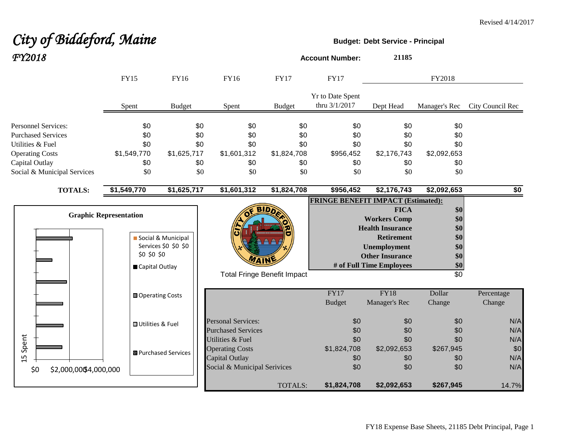# *City of Biddeford, Maine* **Budget:** Debt Service - Principal *FY2018* **Account Number: <sup>21185</sup>**

|                                                                             | <b>FY15</b>                                                    | <b>FY16</b>                                | <b>FY16</b>                                                                                  | <b>FY17</b>                        | <b>FY17</b>                               |                                                                                                                                                          | FY2018                                                      |                          |
|-----------------------------------------------------------------------------|----------------------------------------------------------------|--------------------------------------------|----------------------------------------------------------------------------------------------|------------------------------------|-------------------------------------------|----------------------------------------------------------------------------------------------------------------------------------------------------------|-------------------------------------------------------------|--------------------------|
|                                                                             | Spent                                                          | <b>Budget</b>                              | Spent                                                                                        | <b>Budget</b>                      | Yr to Date Spent<br>thru 3/1/2017         | Dept Head                                                                                                                                                | Manager's Rec                                               | City Council Rec         |
| <b>Personnel Services:</b><br><b>Purchased Services</b><br>Utilities & Fuel | \$0<br>\$0<br>\$0                                              | \$0<br>\$0<br>\$0                          | \$0<br>\$0<br>\$0                                                                            | \$0<br>\$0<br>\$0                  | \$0<br>\$0<br>\$0                         | \$0<br>\$0<br>\$0                                                                                                                                        | \$0<br>\$0<br>\$0                                           |                          |
| <b>Operating Costs</b><br>Capital Outlay                                    | \$1,549,770<br>\$0                                             | \$1,625,717<br>\$0                         | \$1,601,312<br>\$0                                                                           | \$1,824,708<br>\$0                 | \$956,452<br>\$0                          | \$2,176,743<br>\$0                                                                                                                                       | \$2,092,653<br>\$0                                          |                          |
| Social & Municipal Services<br><b>TOTALS:</b>                               | \$0<br>\$1,549,770                                             | \$0<br>\$1,625,717                         | \$0<br>\$1,601,312                                                                           | \$0<br>\$1,824,708                 | \$0<br>\$956,452                          | \$0<br>\$2,176,743                                                                                                                                       | \$0<br>\$2,092,653                                          | \$0                      |
|                                                                             | <b>Graphic Representation</b><br>\$0 \$0 \$0<br>Capital Outlay | Social & Municipal<br>Services \$0 \$0 \$0 |                                                                                              | <b>Total Fringe Benefit Impact</b> | <b>FRINGE BENEFIT IMPACT (Estimated):</b> | <b>FICA</b><br><b>Workers Comp</b><br><b>Health Insurance</b><br><b>Retirement</b><br>Unemployment<br><b>Other Insurance</b><br># of Full Time Employees | \$0<br>\$0<br>\$0<br>\$0<br>\$0<br>\$0<br>\$0<br>$\sqrt{6}$ |                          |
|                                                                             | Operating Costs                                                |                                            |                                                                                              |                                    | <b>FY17</b><br><b>Budget</b>              | <b>FY18</b><br>Manager's Rec                                                                                                                             | Dollar<br>Change                                            | Percentage<br>Change     |
|                                                                             | <b>■ Utilities &amp; Fuel</b>                                  |                                            | <b>Personal Services:</b><br><b>Purchased Services</b>                                       |                                    | \$0<br>\$0                                | \$0<br>\$0                                                                                                                                               | \$0<br>\$0                                                  | N/A<br>N/A               |
| Spent<br>15                                                                 |                                                                | 图 Purchased Services                       | Utilities & Fuel<br><b>Operating Costs</b><br>Capital Outlay<br>Social & Municipal Serivices |                                    | \$0<br>\$1,824,708<br>\$0<br>\$0          | \$0<br>\$2,092,653<br>\$0<br>\$0                                                                                                                         | \$0<br>\$267,945<br>\$0<br>\$0                              | N/A<br>\$0<br>N/A<br>N/A |
| \$0<br>\$2,000,00\$4,000,000                                                |                                                                |                                            |                                                                                              | TOTALS:                            | \$1,824,708                               | \$2,092,653                                                                                                                                              | \$267,945                                                   | 14.7%                    |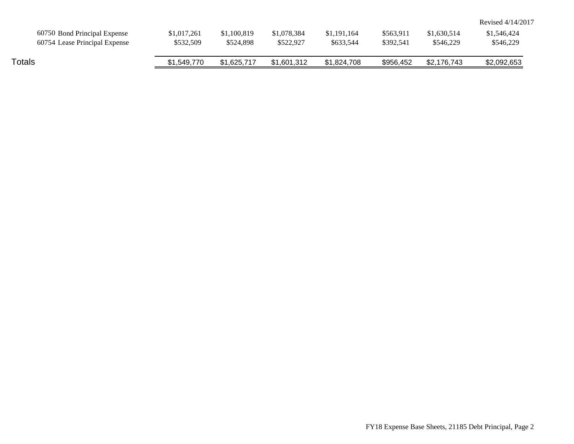|                               |             |             |             |             |           |             | Revised 4/14/2017 |
|-------------------------------|-------------|-------------|-------------|-------------|-----------|-------------|-------------------|
| 60750 Bond Principal Expense  | \$1,017,261 | \$1,100,819 | \$1,078,384 | \$1,191,164 | \$563.911 | \$1,630,514 | \$1,546,424       |
| 60754 Lease Principal Expense | \$532,509   | \$524,898   | \$522,927   | \$633.544   | \$392.541 | \$546,229   | \$546,229         |
|                               |             |             |             |             |           |             |                   |
| Totals                        | \$1,549,770 | \$1.625.717 | \$1,601,312 | \$1,824,708 | \$956,452 | \$2,176,743 | \$2,092,653       |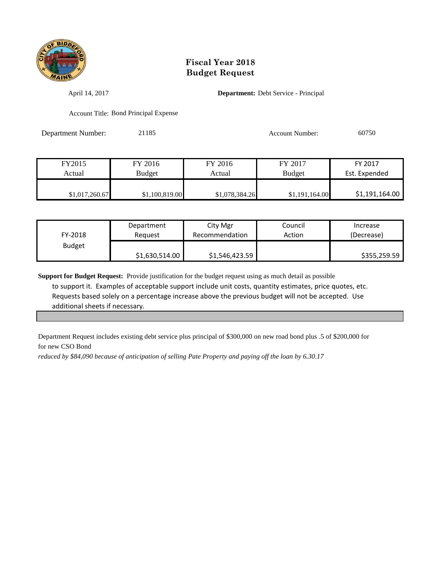

April 14, 2017 **Department:** Debt Service - Principal

Account Title: Bond Principal Expense

Department Number: 21185 Account Number: 60750

| FY2015         | FY 2016        | FY 2016        | FY 2017        | FY 2017        |
|----------------|----------------|----------------|----------------|----------------|
| Actual         | <b>Budget</b>  | Actual         | <b>Budget</b>  | Est. Expended  |
|                |                |                |                |                |
| \$1,017,260.67 | \$1,100,819.00 | \$1,078,384.26 | \$1,191,164.00 | \$1,191,164.00 |

| FY-2018       | Department     | City Mgr       | Council | Increase     |
|---------------|----------------|----------------|---------|--------------|
|               | Reauest        | Recommendation | Action  | (Decrease)   |
| <b>Budget</b> | \$1,630,514.00 | \$1,546,423.59 |         | \$355,259.59 |

**Support for Budget Request:** Provide justification for the budget request using as much detail as possible to support it. Examples of acceptable support include unit costs, quantity estimates, price quotes, etc. Requests based solely on a percentage increase above the previous budget will not be accepted. Use additional sheets if necessary.

Department Request includes existing debt service plus principal of \$300,000 on new road bond plus .5 of \$200,000 for for new CSO Bond

*reduced by \$84,090 because of anticipation of selling Pate Property and paying off the loan by 6.30.17*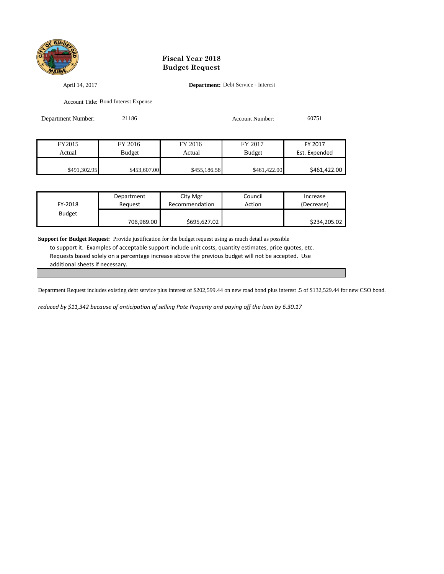

April 14, 2017 **Department:** Debt Service - Interest

Account Title: Bond Interest Expense

| Department Number: | 21186         |              | <b>Account Number:</b> | 60751         |
|--------------------|---------------|--------------|------------------------|---------------|
|                    |               |              |                        |               |
| FY2015             | FY 2016       | FY 2016      | FY 2017                | FY 2017       |
| Actual             | <b>Budget</b> | Actual       | <b>Budget</b>          | Est. Expended |
| \$491,302.95       | \$453,607.00  | \$455,186.58 | \$461,422.00           | \$461,422.00  |

| FY-2018       | Department | City Mgr       | Council | Increase     |
|---------------|------------|----------------|---------|--------------|
|               | Reauest    | Recommendation | Action  | (Decrease)   |
| <b>Budget</b> | 706,969.00 | \$695,627.02   |         | \$234,205.02 |

**Support for Budget Request:** Provide justification for the budget request using as much detail as possible to support it. Examples of acceptable support include unit costs, quantity estimates, price quotes, etc. Requests based solely on a percentage increase above the previous budget will not be accepted. Use additional sheets if necessary.

Department Request includes existing debt service plus interest of \$202,599.44 on new road bond plus interest .5 of \$132,529.44 for new CSO bond.

*reduced by \$11,342 because of anticipation of selling Pate Property and paying off the loan by 6.30.17*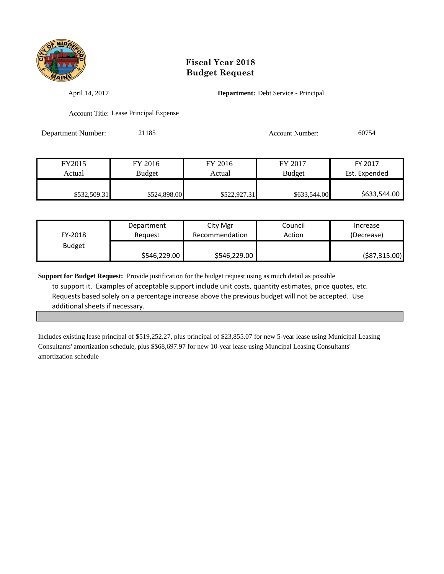

April 14, 2017 **Department:** Debt Service - Principal

Account Title: Lease Principal Expense

Department Number: 21185 Account Number: 60754

| FY2015       | FY 2016      | FY 2016      | FY 2017       | FY 2017       |
|--------------|--------------|--------------|---------------|---------------|
| Actual       | Budget       | Actual       | <b>Budget</b> | Est. Expended |
|              |              |              |               |               |
| \$532,509.31 | \$524,898.00 | \$522,927.31 | \$633,544.00  | \$633,544.00  |

| FY-2018       | Department   | City Mgr       | Council | Increase       |
|---------------|--------------|----------------|---------|----------------|
|               | Reauest      | Recommendation | Action  | (Decrease)     |
| <b>Budget</b> | \$546,229.00 | \$546,229.00   |         | ( \$87,315.00) |

**Support for Budget Request:** Provide justification for the budget request using as much detail as possible to support it. Examples of acceptable support include unit costs, quantity estimates, price quotes, etc. Requests based solely on a percentage increase above the previous budget will not be accepted. Use additional sheets if necessary.

Includes existing lease principal of \$519,252.27, plus principal of \$23,855.07 for new 5-year lease using Municipal Leasing Consultants' amortization schedule, plus \$\$68,697.97 for new 10-year lease using Muncipal Leasing Consultants' amortization schedule